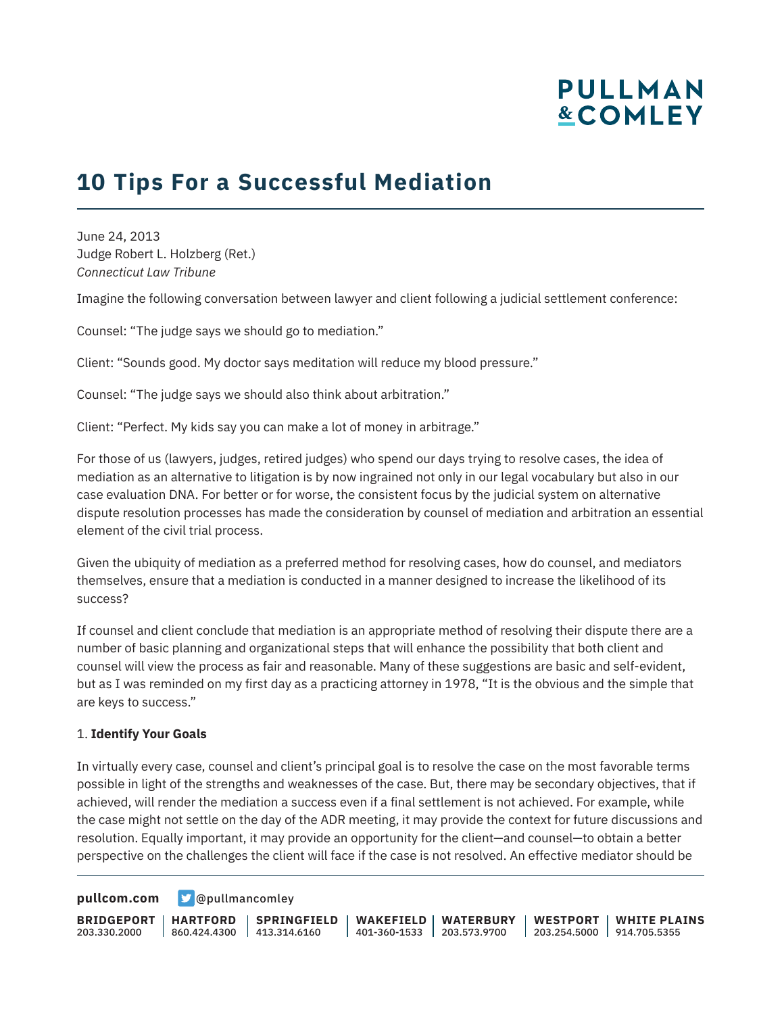## **10 Tips For a Successful Mediation**

June 24, 2013 Judge Robert L. Holzberg (Ret.) *Connecticut Law Tribune*

Imagine the following conversation between lawyer and client following a judicial settlement conference:

Counsel: "The judge says we should go to mediation."

Client: "Sounds good. My doctor says meditation will reduce my blood pressure."

Counsel: "The judge says we should also think about arbitration."

Client: "Perfect. My kids say you can make a lot of money in arbitrage."

For those of us (lawyers, judges, retired judges) who spend our days trying to resolve cases, the idea of mediation as an alternative to litigation is by now ingrained not only in our legal vocabulary but also in our case evaluation DNA. For better or for worse, the consistent focus by the judicial system on alternative dispute resolution processes has made the consideration by counsel of mediation and arbitration an essential element of the civil trial process.

Given the ubiquity of mediation as a preferred method for resolving cases, how do counsel, and mediators themselves, ensure that a mediation is conducted in a manner designed to increase the likelihood of its success?

If counsel and client conclude that mediation is an appropriate method of resolving their dispute there are a number of basic planning and organizational steps that will enhance the possibility that both client and counsel will view the process as fair and reasonable. Many of these suggestions are basic and self-evident, but as I was reminded on my first day as a practicing attorney in 1978, "It is the obvious and the simple that are keys to success."

#### 1. **Identify Your Goals**

In virtually every case, counsel and client's principal goal is to resolve the case on the most favorable terms possible in light of the strengths and weaknesses of the case. But, there may be secondary objectives, that if achieved, will render the mediation a success even if a final settlement is not achieved. For example, while the case might not settle on the day of the ADR meeting, it may provide the context for future discussions and resolution. Equally important, it may provide an opportunity for the client—and counsel—to obtain a better perspective on the challenges the client will face if the case is not resolved. An effective mediator should be

**[pullcom.com](https://www.pullcom.com) g** [@pullmancomley](https://twitter.com/PullmanComley)

**BRIDGEPORT HARTFORD** 203.330.2000 860.424.4300 413.314.6160 **SPRINGFIELD WAKEFIELD WATERBURY** 401-360-1533 203.573.9700 **WESTPORT WHITE PLAINS** 203.254.5000 914.705.5355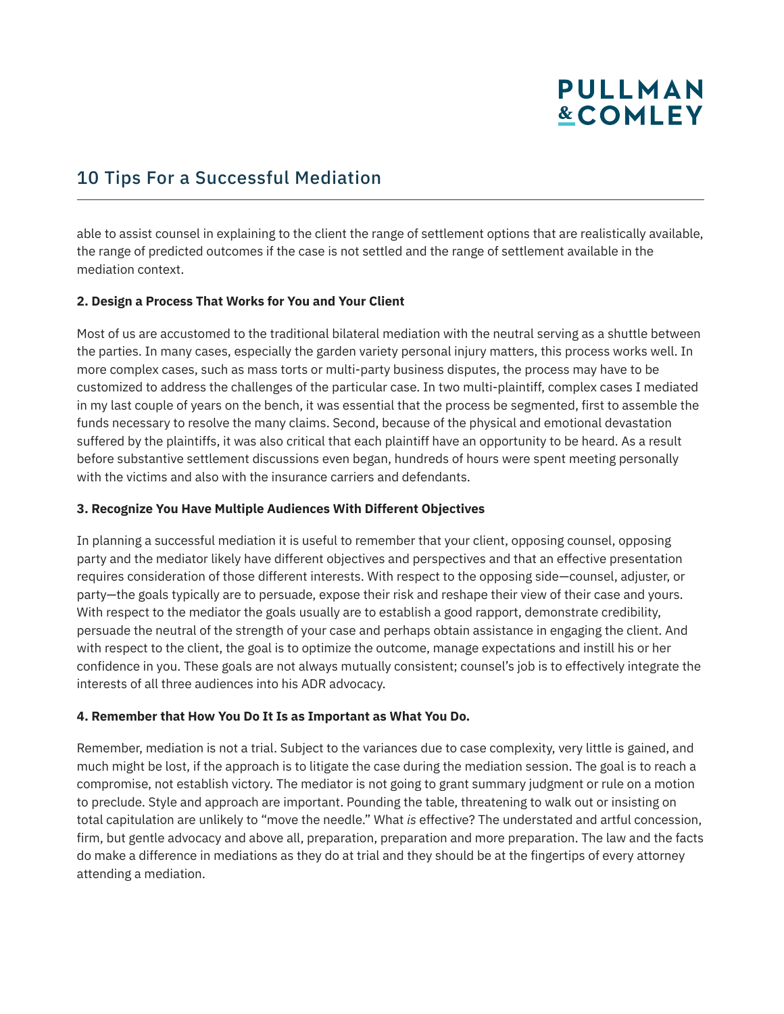### 10 Tips For a Successful Mediation

able to assist counsel in explaining to the client the range of settlement options that are realistically available, the range of predicted outcomes if the case is not settled and the range of settlement available in the mediation context.

#### **2. Design a Process That Works for You and Your Client**

Most of us are accustomed to the traditional bilateral mediation with the neutral serving as a shuttle between the parties. In many cases, especially the garden variety personal injury matters, this process works well. In more complex cases, such as mass torts or multi-party business disputes, the process may have to be customized to address the challenges of the particular case. In two multi-plaintiff, complex cases I mediated in my last couple of years on the bench, it was essential that the process be segmented, first to assemble the funds necessary to resolve the many claims. Second, because of the physical and emotional devastation suffered by the plaintiffs, it was also critical that each plaintiff have an opportunity to be heard. As a result before substantive settlement discussions even began, hundreds of hours were spent meeting personally with the victims and also with the insurance carriers and defendants.

#### **3. Recognize You Have Multiple Audiences With Different Objectives**

In planning a successful mediation it is useful to remember that your client, opposing counsel, opposing party and the mediator likely have different objectives and perspectives and that an effective presentation requires consideration of those different interests. With respect to the opposing side—counsel, adjuster, or party—the goals typically are to persuade, expose their risk and reshape their view of their case and yours. With respect to the mediator the goals usually are to establish a good rapport, demonstrate credibility, persuade the neutral of the strength of your case and perhaps obtain assistance in engaging the client. And with respect to the client, the goal is to optimize the outcome, manage expectations and instill his or her confidence in you. These goals are not always mutually consistent; counsel's job is to effectively integrate the interests of all three audiences into his ADR advocacy.

#### **4. Remember that How You Do It Is as Important as What You Do.**

Remember, mediation is not a trial. Subject to the variances due to case complexity, very little is gained, and much might be lost, if the approach is to litigate the case during the mediation session. The goal is to reach a compromise, not establish victory. The mediator is not going to grant summary judgment or rule on a motion to preclude. Style and approach are important. Pounding the table, threatening to walk out or insisting on total capitulation are unlikely to "move the needle." What *is* effective? The understated and artful concession, firm, but gentle advocacy and above all, preparation, preparation and more preparation. The law and the facts do make a difference in mediations as they do at trial and they should be at the fingertips of every attorney attending a mediation.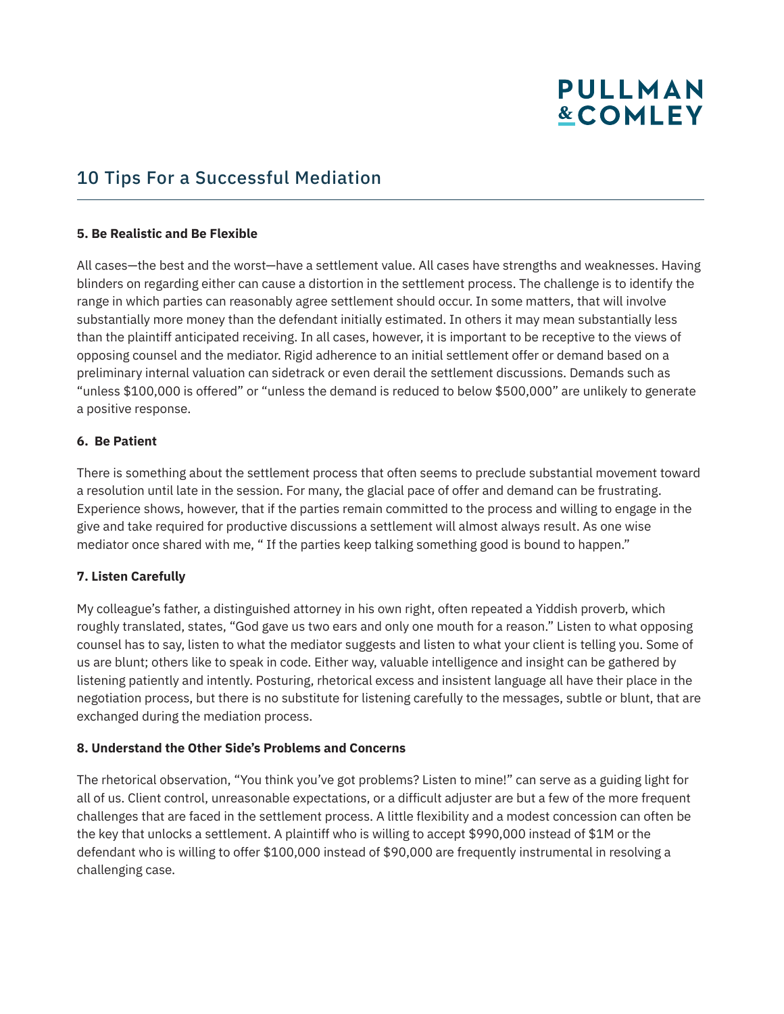### 10 Tips For a Successful Mediation

#### **5. Be Realistic and Be Flexible**

All cases—the best and the worst—have a settlement value. All cases have strengths and weaknesses. Having blinders on regarding either can cause a distortion in the settlement process. The challenge is to identify the range in which parties can reasonably agree settlement should occur. In some matters, that will involve substantially more money than the defendant initially estimated. In others it may mean substantially less than the plaintiff anticipated receiving. In all cases, however, it is important to be receptive to the views of opposing counsel and the mediator. Rigid adherence to an initial settlement offer or demand based on a preliminary internal valuation can sidetrack or even derail the settlement discussions. Demands such as "unless \$100,000 is offered" or "unless the demand is reduced to below \$500,000" are unlikely to generate a positive response.

#### **6. Be Patient**

There is something about the settlement process that often seems to preclude substantial movement toward a resolution until late in the session. For many, the glacial pace of offer and demand can be frustrating. Experience shows, however, that if the parties remain committed to the process and willing to engage in the give and take required for productive discussions a settlement will almost always result. As one wise mediator once shared with me, " If the parties keep talking something good is bound to happen."

#### **7. Listen Carefully**

My colleague's father, a distinguished attorney in his own right, often repeated a Yiddish proverb, which roughly translated, states, "God gave us two ears and only one mouth for a reason." Listen to what opposing counsel has to say, listen to what the mediator suggests and listen to what your client is telling you. Some of us are blunt; others like to speak in code. Either way, valuable intelligence and insight can be gathered by listening patiently and intently. Posturing, rhetorical excess and insistent language all have their place in the negotiation process, but there is no substitute for listening carefully to the messages, subtle or blunt, that are exchanged during the mediation process.

#### **8. Understand the Other Side's Problems and Concerns**

The rhetorical observation, "You think you've got problems? Listen to mine!" can serve as a guiding light for all of us. Client control, unreasonable expectations, or a difficult adjuster are but a few of the more frequent challenges that are faced in the settlement process. A little flexibility and a modest concession can often be the key that unlocks a settlement. A plaintiff who is willing to accept \$990,000 instead of \$1M or the defendant who is willing to offer \$100,000 instead of \$90,000 are frequently instrumental in resolving a challenging case.